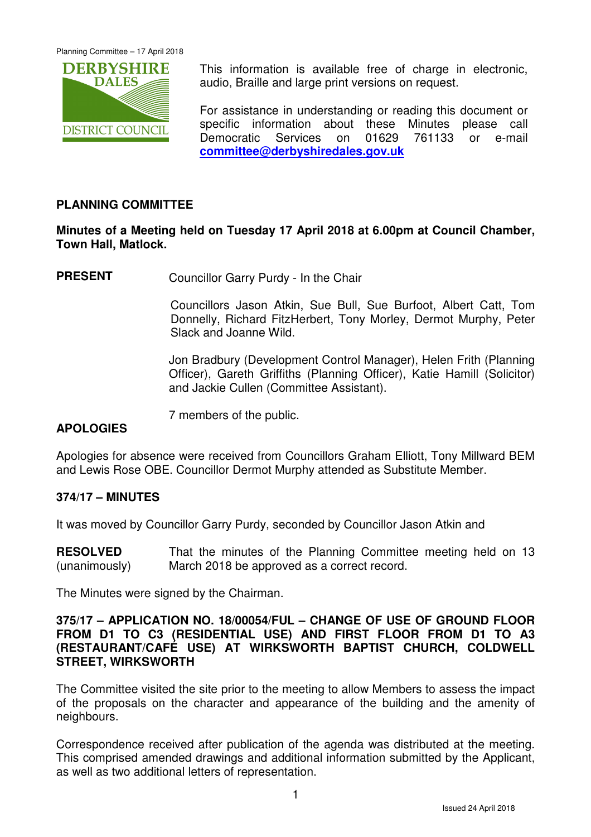

This information is available free of charge in electronic, audio, Braille and large print versions on request.

For assistance in understanding or reading this document or specific information about these Minutes please call Democratic Services on 01629 761133 or e-mail **committee@derbyshiredales.gov.uk**

# **PLANNING COMMITTEE**

# **Minutes of a Meeting held on Tuesday 17 April 2018 at 6.00pm at Council Chamber, Town Hall, Matlock.**

**PRESENT** Councillor Garry Purdy - In the Chair

 Councillors Jason Atkin, Sue Bull, Sue Burfoot, Albert Catt, Tom Donnelly, Richard FitzHerbert, Tony Morley, Dermot Murphy, Peter Slack and Joanne Wild.

Jon Bradbury (Development Control Manager), Helen Frith (Planning Officer), Gareth Griffiths (Planning Officer), Katie Hamill (Solicitor) and Jackie Cullen (Committee Assistant).

7 members of the public.

### **APOLOGIES**

Apologies for absence were received from Councillors Graham Elliott, Tony Millward BEM and Lewis Rose OBE. Councillor Dermot Murphy attended as Substitute Member.

### **374/17 – MINUTES**

It was moved by Councillor Garry Purdy, seconded by Councillor Jason Atkin and

**RESOLVED** (unanimously) That the minutes of the Planning Committee meeting held on 13 March 2018 be approved as a correct record.

The Minutes were signed by the Chairman.

#### **375/17 – APPLICATION NO. 18/00054/FUL – CHANGE OF USE OF GROUND FLOOR FROM D1 TO C3 (RESIDENTIAL USE) AND FIRST FLOOR FROM D1 TO A3 (RESTAURANT/CAFÉ USE) AT WIRKSWORTH BAPTIST CHURCH, COLDWELL STREET, WIRKSWORTH**

The Committee visited the site prior to the meeting to allow Members to assess the impact of the proposals on the character and appearance of the building and the amenity of neighbours.

Correspondence received after publication of the agenda was distributed at the meeting. This comprised amended drawings and additional information submitted by the Applicant, as well as two additional letters of representation.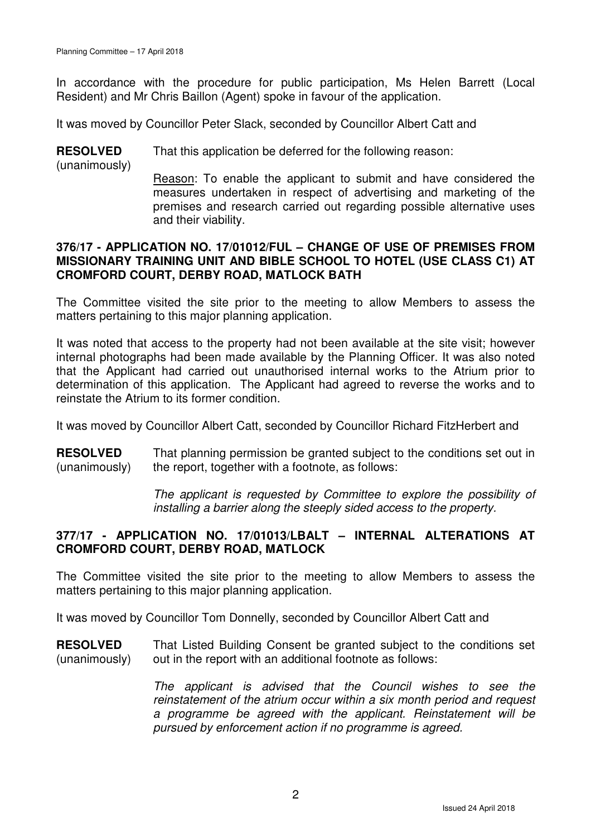In accordance with the procedure for public participation, Ms Helen Barrett (Local Resident) and Mr Chris Baillon (Agent) spoke in favour of the application.

It was moved by Councillor Peter Slack, seconded by Councillor Albert Catt and

**RESOLVED** (unanimously) That this application be deferred for the following reason: Reason: To enable the applicant to submit and have considered the measures undertaken in respect of advertising and marketing of the premises and research carried out regarding possible alternative uses and their viability.

#### **376/17 - APPLICATION NO. 17/01012/FUL – CHANGE OF USE OF PREMISES FROM MISSIONARY TRAINING UNIT AND BIBLE SCHOOL TO HOTEL (USE CLASS C1) AT CROMFORD COURT, DERBY ROAD, MATLOCK BATH**

The Committee visited the site prior to the meeting to allow Members to assess the matters pertaining to this major planning application.

It was noted that access to the property had not been available at the site visit; however internal photographs had been made available by the Planning Officer. It was also noted that the Applicant had carried out unauthorised internal works to the Atrium prior to determination of this application. The Applicant had agreed to reverse the works and to reinstate the Atrium to its former condition.

It was moved by Councillor Albert Catt, seconded by Councillor Richard FitzHerbert and

**RESOLVED** (unanimously) That planning permission be granted subject to the conditions set out in the report, together with a footnote, as follows:

> The applicant is requested by Committee to explore the possibility of installing a barrier along the steeply sided access to the property.

### **377/17 - APPLICATION NO. 17/01013/LBALT – INTERNAL ALTERATIONS AT CROMFORD COURT, DERBY ROAD, MATLOCK**

The Committee visited the site prior to the meeting to allow Members to assess the matters pertaining to this major planning application.

It was moved by Councillor Tom Donnelly, seconded by Councillor Albert Catt and

**RESOLVED** (unanimously) That Listed Building Consent be granted subject to the conditions set out in the report with an additional footnote as follows:

> The applicant is advised that the Council wishes to see the reinstatement of the atrium occur within a six month period and request a programme be agreed with the applicant. Reinstatement will be pursued by enforcement action if no programme is agreed.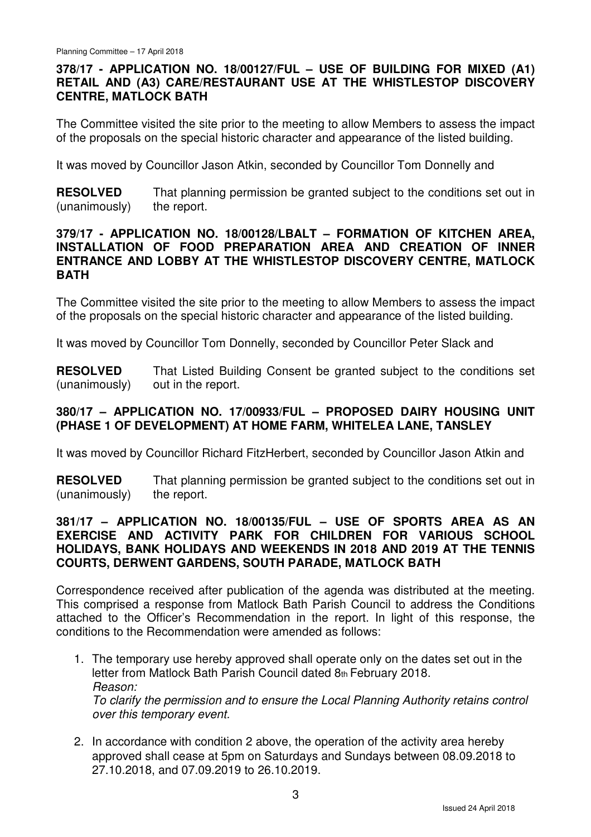# **378/17 - APPLICATION NO. 18/00127/FUL – USE OF BUILDING FOR MIXED (A1) RETAIL AND (A3) CARE/RESTAURANT USE AT THE WHISTLESTOP DISCOVERY CENTRE, MATLOCK BATH**

The Committee visited the site prior to the meeting to allow Members to assess the impact of the proposals on the special historic character and appearance of the listed building.

It was moved by Councillor Jason Atkin, seconded by Councillor Tom Donnelly and

**RESOLVED** (unanimously) That planning permission be granted subject to the conditions set out in the report.

#### **379/17 - APPLICATION NO. 18/00128/LBALT – FORMATION OF KITCHEN AREA, INSTALLATION OF FOOD PREPARATION AREA AND CREATION OF INNER ENTRANCE AND LOBBY AT THE WHISTLESTOP DISCOVERY CENTRE, MATLOCK BATH**

The Committee visited the site prior to the meeting to allow Members to assess the impact of the proposals on the special historic character and appearance of the listed building.

It was moved by Councillor Tom Donnelly, seconded by Councillor Peter Slack and

**RESOLVED** (unanimously) That Listed Building Consent be granted subject to the conditions set out in the report.

# **380/17 – APPLICATION NO. 17/00933/FUL – PROPOSED DAIRY HOUSING UNIT (PHASE 1 OF DEVELOPMENT) AT HOME FARM, WHITELEA LANE, TANSLEY**

It was moved by Councillor Richard FitzHerbert, seconded by Councillor Jason Atkin and

**RESOLVED** (unanimously) That planning permission be granted subject to the conditions set out in the report.

### **381/17 – APPLICATION NO. 18/00135/FUL – USE OF SPORTS AREA AS AN EXERCISE AND ACTIVITY PARK FOR CHILDREN FOR VARIOUS SCHOOL HOLIDAYS, BANK HOLIDAYS AND WEEKENDS IN 2018 AND 2019 AT THE TENNIS COURTS, DERWENT GARDENS, SOUTH PARADE, MATLOCK BATH**

Correspondence received after publication of the agenda was distributed at the meeting. This comprised a response from Matlock Bath Parish Council to address the Conditions attached to the Officer's Recommendation in the report. In light of this response, the conditions to the Recommendation were amended as follows:

- 1. The temporary use hereby approved shall operate only on the dates set out in the letter from Matlock Bath Parish Council dated 8th February 2018. Reason: To clarify the permission and to ensure the Local Planning Authority retains control over this temporary event.
- 2. In accordance with condition 2 above, the operation of the activity area hereby approved shall cease at 5pm on Saturdays and Sundays between 08.09.2018 to 27.10.2018, and 07.09.2019 to 26.10.2019.